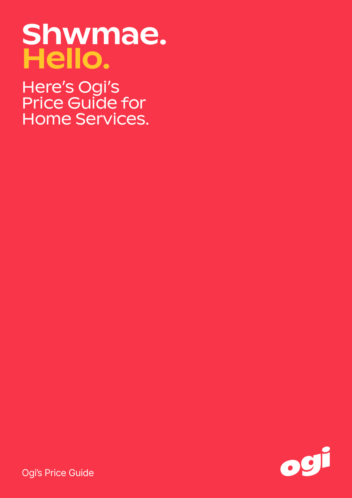# Shwmae. Hello.

Here's Ogi's Price Guide for Home Services.



Ogi's Price Guide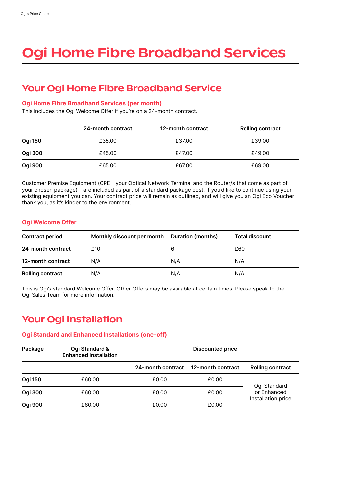# Ogi Home Fibre Broadband Services

## Your Ogi Home Fibre Broadband Service

#### Ogi Home Fibre Broadband Services (per month)

This includes the Ogi Welcome Offer if you're on a 24-month contract.

|         | 24-month contract | 12-month contract | <b>Rolling contract</b> |
|---------|-------------------|-------------------|-------------------------|
| Ogi 150 | £35.00            | £37.00            | £39.00                  |
| Ogi 300 | £45.00            | £47.00            | £49.00                  |
| Ogi 900 | £65.00            | £67.00            | £69.00                  |

Customer Premise Equipment (CPE – your Optical Network Terminal and the Router/s that come as part of your chosen package) – are included as part of a standard package cost. If you'd like to continue using your existing equipment you can. Your contract price will remain as outlined, and will give you an Ogi Eco Voucher thank you, as it's kinder to the environment.

#### Ogi Welcome Offer

| <b>Contract period</b>  | Monthly discount per month | Duration (months) | <b>Total discount</b> |
|-------------------------|----------------------------|-------------------|-----------------------|
| 24-month contract       | £10                        | 6                 | £60                   |
| 12-month contract       | N/A                        | N/A               | N/A                   |
| <b>Rolling contract</b> | N/A                        | N/A               | N/A                   |

This is Ogi's standard Welcome Offer. Other Offers may be available at certain times. Please speak to the Ogi Sales Team for more information.

## Your Ogi Installation

#### Ogi Standard and Enhanced Installations (one-off)

| Package        | Ogi Standard &<br><b>Enhanced Installation</b> | <b>Discounted price</b> |                   |                             |
|----------------|------------------------------------------------|-------------------------|-------------------|-----------------------------|
|                |                                                | 24-month contract       | 12-month contract | <b>Rolling contract</b>     |
| <b>Ogi 150</b> | £60.00                                         | £0.00                   | £0.00             |                             |
| Ogi 300        | £60.00                                         | £0.00                   | £0.00             | Ogi Standard<br>or Enhanced |
| Ogi 900        | £60.00                                         | £0.00                   | £0.00             | Installation price          |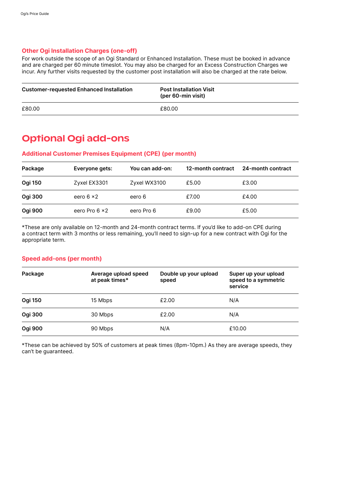#### Other Ogi Installation Charges (one-off)

For work outside the scope of an Ogi Standard or Enhanced Installation. These must be booked in advance and are charged per 60 minute timeslot. You may also be charged for an Excess Construction Charges we incur. Any further visits requested by the customer post installation will also be charged at the rate below.

| <b>Customer-requested Enhanced Installation</b> | <b>Post Installation Visit</b><br>(per 60-min visit) |
|-------------------------------------------------|------------------------------------------------------|
| £80.00                                          | £80.00                                               |

### Optional Ogi add-ons

#### Additional Customer Premises Equipment (CPE) (per month)

| Package        | Everyone gets:        | You can add-on: | 12-month contract | 24-month contract |
|----------------|-----------------------|-----------------|-------------------|-------------------|
| <b>Ogi 150</b> | Zyxel EX3301          | Zyxel WX3100    | £5.00             | £3.00             |
| Ogi 300        | eero $6 \times 2$     | eero 6          | £7.00             | £4.00             |
| Ogi 900        | eero Pro $6 \times 2$ | eero Pro 6      | £9.00             | £5.00             |

\*These are only available on 12-month and 24-month contract terms. If you'd like to add-on CPE during a contract term with 3 months or less remaining, you'll need to sign-up for a new contract with Ogi for the appropriate term.

#### Speed add-ons (per month)

| Package        | Average upload speed<br>at peak times* | Double up your upload<br>speed | Super up your upload<br>speed to a symmetric<br>service |
|----------------|----------------------------------------|--------------------------------|---------------------------------------------------------|
| <b>Ogi 150</b> | 15 Mbps                                | £2.00                          | N/A                                                     |
| <b>Ogi 300</b> | 30 Mbps                                | £2.00                          | N/A                                                     |
| <b>Ogi 900</b> | 90 Mbps                                | N/A                            | £10.00                                                  |

\*These can be achieved by 50% of customers at peak times (8pm-10pm.) As they are average speeds, they can't be guaranteed.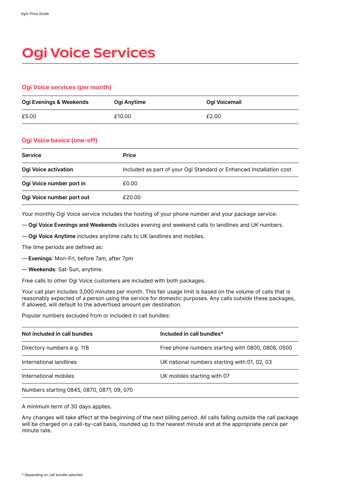# **Ogi Voice Services**

#### Ogi Voice services (per month)

| Ogi Evenings & Weekends | Ogi Anytime | Ogi Voicemail |
|-------------------------|-------------|---------------|
| £5.00                   | £10.00      | £2.00         |

#### Ogi Voice basics (one-off)

| <b>Service</b>              | <b>Price</b>                                                        |
|-----------------------------|---------------------------------------------------------------------|
| <b>Ogi Voice activation</b> | Included as part of your Ogi Standard or Enhanced Installation cost |
| Ogi Voice number port in    | £0.00                                                               |
| Ogi Voice number port out   | £20.00                                                              |

Your monthly Ogi Voice service includes the hosting of your phone number and your package service:

— Ogi Voice Evenings and Weekends includes evening and weekend calls to landlines and UK numbers.

— Ogi Voice Anytime includes anytime calls to UK landlines and mobiles.

The time periods are defined as:

— Evenings: Mon-Fri, before 7am, after 7pm

— Weekends: Sat-Sun, anytime.

Free calls to other Ogi Voice customers are included with both packages.

Your call plan includes 3,000 minutes per month. This fair usage limit is based on the volume of calls that is reasonably expected of a person using the service for domestic purposes. Any calls outside these packages, if allowed, will default to the advertised amount per destination.

Popular numbers excluded from or included in call bundles:

| Not included in call bundles               | Included in call bundles*                         |
|--------------------------------------------|---------------------------------------------------|
| Directory numbers e.g. 118                 | Free phone numbers starting with 0800, 0808, 0500 |
| International landlines                    | UK national numbers starting with 01, 02, 03      |
| International mobiles                      | UK mobiles starting with 07                       |
| Numbers starting 0845, 0870, 0871, 09, 070 |                                                   |

A minimum term of 30 days applies.

Any changes will take affect at the beginning of the next billing period. All calls falling outside the call package will be charged on a call-by-call basis, rounded up to the nearest minute and at the appropriate pence per minute rate.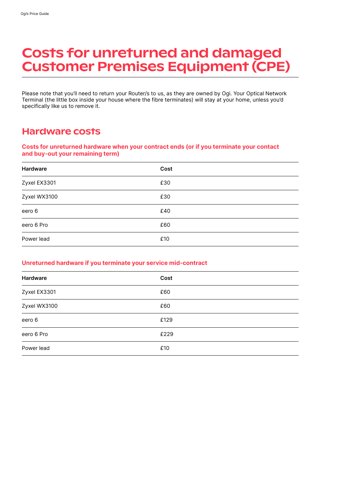# Costs for unreturned and damaged Customer Premises Equipment (CPE)

Please note that you'll need to return your Router/s to us, as they are owned by Ogi. Your Optical Network Terminal (the little box inside your house where the fibre terminates) will stay at your home, unless you'd specifically like us to remove it.

## Hardware costs

#### Costs for unreturned hardware when your contract ends (or if you terminate your contact and buy-out your remaining term)

| <b>Hardware</b> | Cost |
|-----------------|------|
| Zyxel EX3301    | £30  |
| Zyxel WX3100    | £30  |
| eero 6          | £40  |
| eero 6 Pro      | £60  |
| Power lead      | £10  |

#### Unreturned hardware if you terminate your service mid-contract

| Hardware     | Cost |
|--------------|------|
| Zyxel EX3301 | £60  |
| Zyxel WX3100 | £60  |
| eero 6       | £129 |
| eero 6 Pro   | £229 |
| Power lead   | £10  |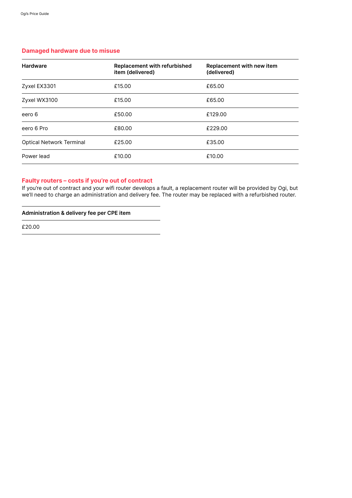#### Damaged hardware due to misuse

| <b>Hardware</b>                 | <b>Replacement with refurbished</b><br>item (delivered) | Replacement with new item<br>(delivered) |
|---------------------------------|---------------------------------------------------------|------------------------------------------|
| Zyxel EX3301                    | £15.00                                                  | £65.00                                   |
| Zyxel WX3100                    | £15.00                                                  | £65.00                                   |
| eero 6                          | £50.00                                                  | £129.00                                  |
| eero 6 Pro                      | £80.00                                                  | £229.00                                  |
| <b>Optical Network Terminal</b> | £25.00                                                  | £35.00                                   |
| Power lead                      | £10.00                                                  | £10.00                                   |

#### Faulty routers – costs if you're out of contract

If you're out of contract and your wifi router develops a fault, a replacement router will be provided by Ogi, but we'll need to charge an administration and delivery fee. The router may be replaced with a refurbished router.

#### Administration & delivery fee per CPE item

£20.00